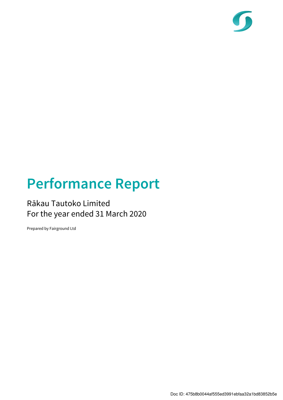

# Performance Report

## Rākau Tautoko Limited For the year ended 31 March 2020

Prepared by Fairground Ltd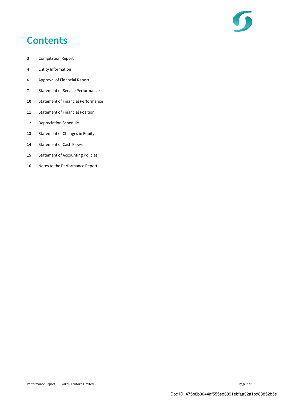

## **Contents**

- 3 Compilation Report
- 4 Entity Information
- 6 Approval of Financial Report
- 7 Statement of Service Performance
- 10 Statement of Financial Performance
- 11 Statement of Financial Position
- 12 Depreciation Schedule
- 13 Statement of Changes in Equity
- 14 Statement of Cash Flows
- 15 Statement of Accounting Policies
- 16 Notes to the Performance Report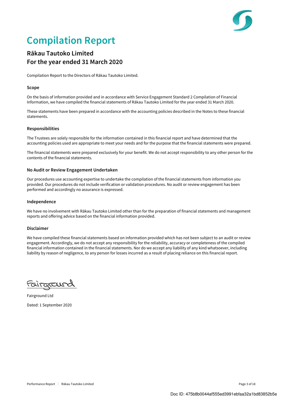

## Compilation Report

### Rākau Tautoko Limited For the year ended 31 March 2020

Compilation Report to the Directors of Rākau Tautoko Limited.

#### Scope

On the basis of information provided and in accordance with Service Engagement Standard 2 Compilation of Financial Information, we have compiled the financial statements of Rākau Tautoko Limited for the year ended 31 March 2020.

These statements have been prepared in accordance with the accounting policies described in the Notes to these financial statements.

#### Responsibilities

The Trustees are solely responsible for the information contained in this financial report and have determined that the accounting policies used are appropriate to meet your needs and for the purpose that the financial statements were prepared.

The financial statements were prepared exclusively for your benefit. We do not accept responsibility to any other person for the contents of the financial statements.

#### No Audit or Review Engagement Undertaken

Our procedures use accounting expertise to undertake the compilation of the financial statements from information you provided. Our procedures do not include verification or validation procedures. No audit or review engagement has been performed and accordingly no assurance is expressed.

#### Independence

We have no involvement with Rākau Tautoko Limited other than for the preparation of financial statements and management reports and offering advice based on the financial information provided.

#### Disclaimer

We have compiled these financial statements based on information provided which has not been subject to an audit or review engagement. Accordingly, we do not accept any responsibility for the reliability, accuracy or completeness of the compiled financial information contained in the financial statements. Nor do we accept any liability of any kind whatsoever, including liability by reason of negligence, to any person for losses incurred as a result of placing reliance on this financial report.

FOUTOTOUR  $\overline{a}$ 

Fairground Ltd Dated: 1 September 2020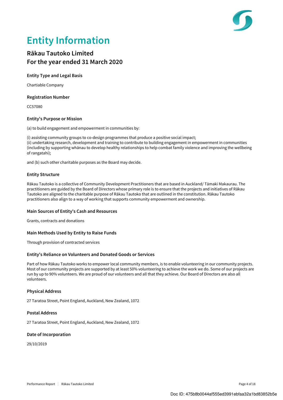

## Entity Information

### Rākau Tautoko Limited For the year ended 31 March 2020

#### Entity Type and Legal Basis

Chartiable Company

#### Registration Number

CC57080

#### Entity's Purpose or Mission

(a) to build engagement and empowerment in communities by:

(i) assisting community groups to co-design programmes that produce a positive social impact; (ii) undertaking research, development and training to contribute to building engagement in empowerment in communities (including by supporting whānau to develop healthy relationships to help combat family violence and improving the wellbeing of rangatahi);

and (b) such other charitable purposes as the Board may decide.

#### Entity Structure

Rākau Tautoko is a collective of Community Development Practitioners that are based in Auckland/ Tāmaki Makaurau. The practitioners are guided by the Board of Directors whose primary role is to ensure that the projects and initiatives of Rākau Tautoko are aligned to the charitable purpose of Rākau Tautoko that are outlined in the constitution. Rākau Tautoko practitioners also align to a way of working that supports community empowerment and ownership.

#### Main Sources of Entity's Cash and Resources

Grants, contracts and donations

#### Main Methods Used by Entity to Raise Funds

Through provision of contracted services

#### Entity's Reliance on Volunteers and Donated Goods or Services

Part of how Rākau Tautoko works to empower local community members, is to enable volunteering in our community projects. Most of our community projects are supported by at least 50% volunteering to achieve the work we do. Some of our projects are run by up to 90% volunteers. We are proud of our volunteers and all that they achieve. Our Board of Directors are also all volunteers.

#### Physical Address

27 Taratoa Street, Point England, Auckland, New Zealand, 1072

#### Postal Address

27 Taratoa Street, Point England, Auckland, New Zealand, 1072

#### Date of Incorporation

29/10/2019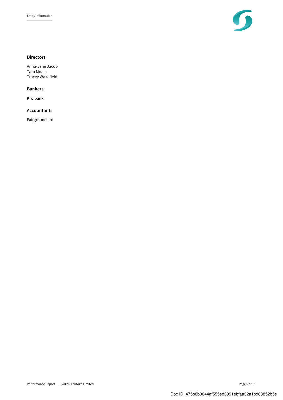

#### Directors

Anna-Jane Jacob Tara Moala Tracey Wakefield

#### Bankers

Kiwibank

#### Accountants

Fairground Ltd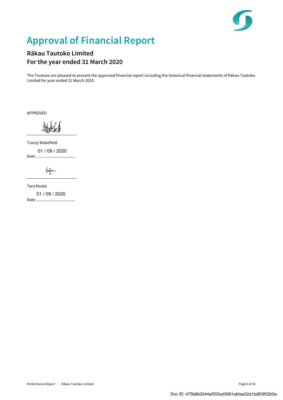

## Approval of Financial Report

### Rākau Tautoko Limited For the year ended 31 March 2020

 $\overline{a}$ 

 $\overline{a}$ 

The Trustees are pleased to present the approved financial report including the historical financial statements of Rākau Tautoko Limited for year ended 31 March 2020.

APPROVED

Tracey Wakefield Date ..................................... 01 / 09 / 2020

 $\sqrt{a\pi}.$ 

Tara Moala Date ..................................... 01 / 09 / 2020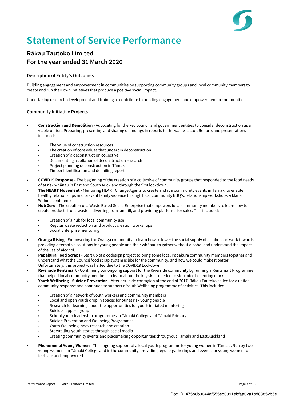

## Statement of Service Performance

### Rākau Tautoko Limited For the year ended 31 March 2020

#### Description of Entity's Outcomes

Building engagement and empowerment in communities by supporting community groups and local community members to create and run their own initiatives that produce a positive social impact.

Undertaking research, development and training to contribute to building engagement and empowerment in communities.

#### Community Initiative Projects

- Construction and Demolition Advocating for the key council and government entities to consider deconstruction as a viable option. Preparing, presenting and sharing of findings in reports to the waste sector. Reports and presentations included:
	- The value of construction resources
	- The creation of core values that underpin deconstruction
	- Creation of a deconstruction collective
	- Documenting a collation of deconstruction research
	- Project planning deconstruction in Tāmaki
	- Timber Identification and denailing reports
- COVID19 Response The beginning of the creation of a collective of community groups that responded to the food needs of at risk whānau in East and South Auckland through the first lockdown.
- The HEART Movement Mentoring HEART Change Agents to create and run community events in Tāmaki to enable healthy relationships and prevent family violence through local community BBQ's, relationship workshops & Mana Wāhine conference.
- Hub Zero The creation of a Waste Based Social Enterprise that empowers local community members to learn how to create products from 'waste' - diverting from landfill, and providing platforms for sales. This included:
	- Creation of a hub for local community use
	- Regular waste reduction and product creation workshops
	- Social Enterprise mentoring
- Oranga Rising Empowering the Oranga community to learn how to lower the social supply of alcohol and work towards providing alternative solutions for young people and their whānau to gather without alcohol and understand the impact of the use of alcohol.
- Papakura Food Scraps Start up of a codesign project to bring some local Papakura community members together and understand what the Council food scrap system is like for the community, and how we could make it better. Unfortunately, this project was halted due to the COVID19 Lockdown.
- Riverside Rentsmart Continuing our ongoing support for the Riverside community by running a Rentsmart Programme that helped local community members to learn about the key skills needed to step into the renting market.
- Youth Wellbeing Suicide Prevention After a suicide contagion at the end of 2017, Rākau Tautoko called for a united community response and continued to support a Youth Wellbeing programme of activities. This included:
	- Creation of a network of youth workers and community members
	- Local and open youth drop in spaces for our at risk young people
	- Research for learning about the opportunities for youth initiated mentoring
	- Suicide support group
	- School youth leadership programmes in Tāmaki College and Tāmaki Primary
	- Suicide Prevention and Wellbeing Programmes
	- Youth Wellbeing Index research and creation
	- Storytelling youth stories through social media
	- Creating community events and placemaking opportunities throughout Tāmaki and East Auckland
- Phenomenal Young Women The ongoing support of a local youth programme for young women in Tāmaki. Run by two young women - in Tāmaki College and in the community, providing regular gatherings and events for young women to feel safe and empowered.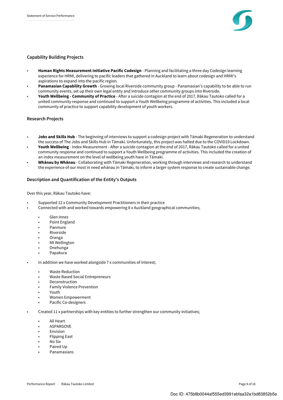

#### Capability Building Projects

- Human Rights Measurement Initiative Pacific Codesign Planning and facilitating a three day Codesign learning experience for HRMI, delivering to pacific leaders that gathered in Auckland to learn about codesign and HRMI's aspirations to expand into the pacific region.
- Panamasian Capability Growth Growing local Riverside community group Panamasian's capability to be able to run community events, set up their own legal entity and introduce other community groups into Riverside.
- Youth Wellbeing Community of Practice After a suicide contagion at the end of 2017, Rākau Tautoko called for a united community response and continued to support a Youth Wellbeing programme of activities. This included a local community of practice to support capability development of youth workers.

#### Research Projects

- Jobs and Skills Hub The beginning of interviews to support a codesign project with Tāmaki Regeneration to understand the success of The Jobs and Skills Hub in Tāmaki. Unfortunately, this project was halted due to the COVID19 Lockdown.
- Youth Wellbeing Index Measurement After a suicide contagion at the end of 2017, Rākau Tautoko called for a united community response and continued to support a Youth Wellbeing programme of activities. This included the creation of an index measurement on the level of wellbeing youth have in Tāmaki.
- Whānau by Whānau Collaborating with Tāmaki Regeneration, working through interviews and research to understand the experience of our most in need whānau in Tāmaki, to inform a larger system response to create sustainable change.

#### Description and Quantification of the Entity's Outputs

Over this year, Rākau Tautoko have:

- Supported 12 x Community Development Practitioners in their practice
- Connected with and worked towards empowering 8 x Auckland geographical communities;
	- Glen Innes
	- Point England
	- Panmure
	- **Riverside**
	- Oranga
	- Mt Wellington
	- Onehunga
	- Papakura
- In addition we have worked alongside 7 x communities of interest;
	- Waste Reduction
	- Waste Based Social Entrepreneurs
	- **Deconstruction**
	- Family Violence Prevention
	- Youth
	- Women Empowerment
	- Pacific Co-designers
- Created 11 x partnerships with key entities to further strengthen our community initiatives;
	- All Heart
	- **ASPARGOVE**
	- **Envision**
	- Flipping East
	- No Six
	- Paired Up
	- Panamasians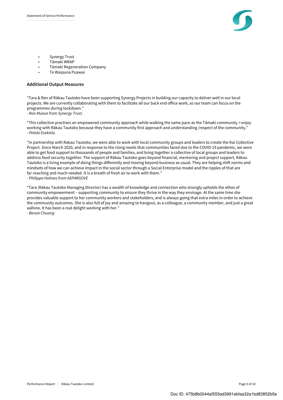

- Synergy Trust
- Tāmaki WRAP
- Tāmaki Regeneration Company
- Te Waipuna Puawai

#### Additional Output Measures

"Tara & Ren of Rākau Tautoko have been supporting Synergy Projects in building our capacity to deliver well in our local projects. We are currently collaborating with them to facilitate all our back end office work, so our team can focus on the programmes during lockdown."

- Ron Muave from Synergy Trust.

"This collective practises an empowered community approach while walking the same pace as the Tāmaki community. I enjoy working with Rākau Tautoko because they have a community first approach and understanding /respect of the community." - Petelo Esekielu

"In partnership with Rakau Tautoko, we were able to work with local community groups and leaders to create the Kai Collective Project. Since March 2020, and in response to the rising needs that communities faced due to the COVID-19 pandemic, we were able to get food support to thousands of people and families, and bring together a collective of local groups and leaders to address food security together. The support of Rākau Tautoko goes beyond financial, mentoring and project support, Rākau Tautoko is a living example of doing things differently and moving beyond business as usual. They are helping shift norms and mindsets of how we can achieve impact in the social sector through a Social Enterprise model and the ripples of that are far-reaching and much needed. It is a breath of fresh air to work with them." - Philippa Holmes from ASPARGOVE

"Tara (Rākau Tautoko Managing Director) has a wealth of knowledge and connection who strongly upholds the ethos of community empowerment – supporting community to ensure they thrive in the way they envisage. At the same time she provides valuable support to her community workers and stakeholders, and is always going that extra miles in order to achieve the community outcomes. She is also full of joy and amazing to hangout, as a colleague, a community member, and just a great wāhine. It has been a real delight working with her."

- Bevan Chuang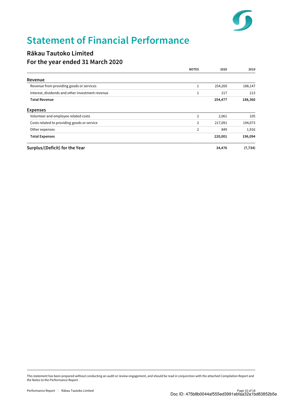

## Statement of Financial Performance

### Rākau Tautoko Limited For the year ended 31 March 2020

|                                                  | <b>NOTES</b>   | 2020    | 2019     |
|--------------------------------------------------|----------------|---------|----------|
| Revenue                                          |                |         |          |
| Revenue from providing goods or services         | 1              | 254,260 | 188,147  |
| Interest, dividends and other investment revenue |                | 217     | 213      |
| <b>Total Revenue</b>                             |                | 254,477 | 188,360  |
| <b>Expenses</b>                                  |                |         |          |
| Volunteer and employee related costs             | $\overline{2}$ | 2,061   | 105      |
| Costs related to providing goods or service      | 2              | 217,091 | 194,073  |
| Other expenses                                   | 2              | 849     | 1,916    |
| <b>Total Expenses</b>                            |                | 220,001 | 196,094  |
| Surplus/(Deficit) for the Year                   |                | 34,476  | (7, 734) |

This statement has been prepared without conducting an audit or review engagement, and should be read in conjunction with the attached Compilation Report and the Notes to the Performance Report.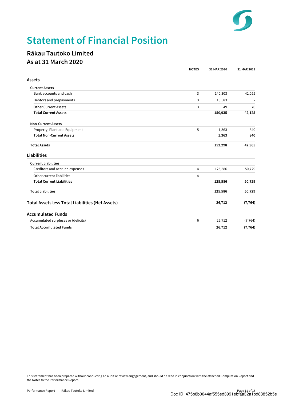

## Statement of Financial Position

### Rākau Tautoko Limited As at 31 March 2020

|                                                         | <b>NOTES</b>   | 31 MAR 2020 | 31 MAR 2019 |
|---------------------------------------------------------|----------------|-------------|-------------|
| <b>Assets</b>                                           |                |             |             |
| <b>Current Assets</b>                                   |                |             |             |
| Bank accounts and cash                                  | 3              | 140,303     | 42,055      |
| Debtors and prepayments                                 | 3              | 10,583      |             |
| <b>Other Current Assets</b>                             | 3              | 49          | 70          |
| <b>Total Current Assets</b>                             |                | 150,935     | 42,125      |
| <b>Non-Current Assets</b>                               |                |             |             |
| Property, Plant and Equipment                           | 5              | 1,363       | 840         |
| <b>Total Non-Current Assets</b>                         |                | 1,363       | 840         |
| <b>Total Assets</b>                                     |                | 152,298     | 42,965      |
| Liabilities                                             |                |             |             |
| <b>Current Liabilities</b>                              |                |             |             |
| Creditors and accrued expenses                          | 4              | 125,586     | 50,729      |
| Other current liabilities                               | $\overline{4}$ | $\sim$      |             |
| <b>Total Current Liabilities</b>                        |                | 125,586     | 50,729      |
| <b>Total Liabilities</b>                                |                | 125,586     | 50,729      |
| <b>Total Assets less Total Liabilities (Net Assets)</b> |                | 26,712      | (7, 764)    |
| <b>Accumulated Funds</b>                                |                |             |             |
| Accumulated surpluses or (deficits)                     | 6              | 26,712      | (7, 764)    |
| <b>Total Accumulated Funds</b>                          |                | 26,712      | (7, 764)    |

This statement has been prepared without conducting an audit or review engagement, and should be read in conjunction with the attached Compilation Report and the Notes to the Performance Report.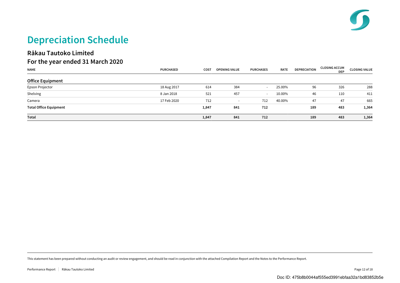## Depreciation Schedule

### Rākau Tautoko Limited For the year ended 31 March 2020

| <b>NAME</b>                   | <b>PURCHASED</b> | <b>COST</b> | <b>OPENING VALUE</b> | <b>PURCHASES</b> | <b>RATE</b> | <b>DEPRECIATION</b> | <b>CLOSING ACCUM</b><br><b>DEP</b> | <b>CLOSING VALUE</b> |
|-------------------------------|------------------|-------------|----------------------|------------------|-------------|---------------------|------------------------------------|----------------------|
| <b>Office Equipment</b>       |                  |             |                      |                  |             |                     |                                    |                      |
| Epson Projector               | 18 Aug 2017      | 614         | 384                  | $\sim$           | 25.00%      | 96                  | 326                                | 288                  |
| Shelving                      | 8 Jan 2018       | 521         | 457                  | $\sim$           | 10.00%      | 46                  | 110                                | 411                  |
| Camera                        | 17 Feb 2020      | 712         |                      | 712              | 40.00%      | 47                  | 47                                 | 665                  |
| <b>Total Office Equipment</b> |                  | 1,847       | 841                  | 712              |             | 189                 | 483                                | 1,364                |
| Total                         |                  | 1,847       | 841                  | 712              |             | 189                 | 483                                | 1,364                |

This statement has been prepared without conducting an audit or review engagement, and should be read in conjunction with the attached Compilation Report and the Notes to the Performance Report.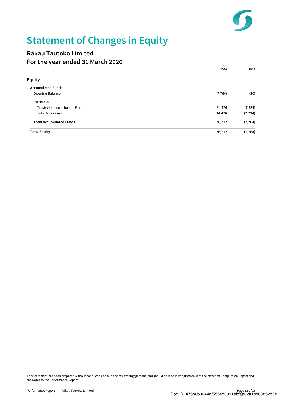

## Statement of Changes in Equity

### Rākau Tautoko Limited For the year ended 31 March 2020

|                                | 2020     | 2019     |
|--------------------------------|----------|----------|
| <b>Equity</b>                  |          |          |
| <b>Accumulated Funds</b>       |          |          |
| Opening Balance                | (7, 764) | (30)     |
| <b>Increases</b>               |          |          |
| Trustees Income for the Period | 34,476   | (7, 734) |
| <b>Total Increases</b>         | 34,476   | (7, 734) |
| <b>Total Accumulated Funds</b> | 26,712   | (7, 764) |
| <b>Total Equity</b>            | 26,712   | (7, 764) |

This statement has been prepared without conducting an audit or review engagement, and should be read in conjunction with the attached Compilation Report and the Notes to the Performance Report.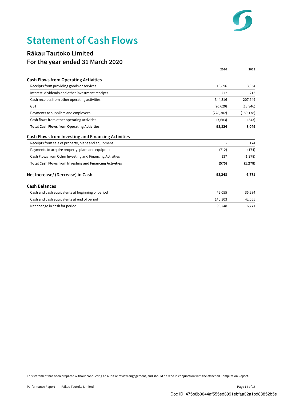

## Statement of Cash Flows

### Rākau Tautoko Limited For the year ended 31 March 2020

|                                                                 | 2020       | 2019       |
|-----------------------------------------------------------------|------------|------------|
| <b>Cash Flows from Operating Activities</b>                     |            |            |
| Receipts from providing goods or services                       | 10,896     | 3,354      |
| Interest, dividends and other investment receipts               | 217        | 213        |
| Cash receipts from other operating activities                   | 344,316    | 207,949    |
| <b>GST</b>                                                      | (20,620)   | (13,946)   |
| Payments to suppliers and employees                             | (228, 302) | (189, 178) |
| Cash flows from other operating activities                      | (7,683)    | (343)      |
| <b>Total Cash Flows from Operating Activities</b>               | 98,824     | 8,049      |
| <b>Cash Flows from Investing and Financing Activities</b>       |            |            |
| Receipts from sale of property, plant and equipment             |            | 174        |
| Payments to acquire property, plant and equipment               | (712)      | (174)      |
| Cash Flows from Other Investing and Financing Activities        | 137        | (1,278)    |
| <b>Total Cash Flows from Investing and Financing Activities</b> | (575)      | (1,278)    |
| Net Increase/ (Decrease) in Cash                                | 98,248     | 6,771      |
| <b>Cash Balances</b>                                            |            |            |
| Cash and cash equivalents at beginning of period                | 42,055     | 35,284     |
| Cash and cash equivalents at end of period                      | 140,303    | 42,055     |
| Net change in cash for period                                   | 98,248     | 6,771      |

This statement has been prepared without conducting an audit or review engagement, and should be read in conjunction with the attached Compilation Report.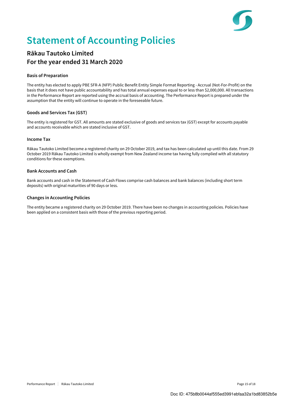

## Statement of Accounting Policies

### Rākau Tautoko Limited For the year ended 31 March 2020

#### Basis of Preparation

The entity has elected to apply PBE SFR-A (NFP) Public Benefit Entity Simple Format Reporting - Accrual (Not-For-Profit) on the basis that it does not have public accountability and has total annual expenses equal to or less than \$2,000,000. All transactions in the Performance Report are reported using the accrual basis of accounting. The Performance Report is prepared under the assumption that the entity will continue to operate in the foreseeable future.

#### Goods and Services Tax (GST)

The entity is registered for GST. All amounts are stated exclusive of goods and services tax (GST) except for accounts payable and accounts receivable which are stated inclusive of GST.

#### Income Tax

Rākau Tautoko Limited become a registered charity on 29 October 2019, and tax has been calculated up until this date. From 29 October 2019 Rākau Tautoko Limited is wholly exempt from New Zealand income tax having fully complied with all statutory conditions for these exemptions.

#### Bank Accounts and Cash

Bank accounts and cash in the Statement of Cash Flows comprise cash balances and bank balances (including short term deposits) with original maturities of 90 days or less.

#### Changes in Accounting Policies

The entity became a registered charity on 29 October 2019. There have been no changes in accounting policies. Policies have been applied on a consistent basis with those of the previous reporting period.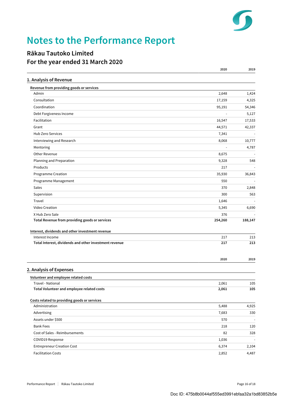

## Notes to the Performance Report

### Rākau Tautoko Limited For the year ended 31 March 2020

|                                                        | 2020    | 2019    |
|--------------------------------------------------------|---------|---------|
| 1. Analysis of Revenue                                 |         |         |
| Revenue from providing goods or services               |         |         |
| Admin                                                  | 2,648   | 1,424   |
| Consultation                                           | 17,159  | 4,325   |
| Coordination                                           | 95,191  | 54,346  |
| Debt Forgiveness Income                                |         | 5,127   |
| Facilitation                                           | 16,547  | 17,533  |
| Grant                                                  | 44,571  | 42,337  |
| Hub Zero Services                                      | 7,341   |         |
| Interviewing and Research                              | 8,068   | 10,777  |
| Mentoring                                              | L,      | 4,787   |
| Other Revenue                                          | 8,675   |         |
| Planning and Preparation                               | 9,328   | 548     |
| Products                                               | 217     |         |
| Programme Creation                                     | 35,930  | 36,843  |
| Programme Management                                   | 550     |         |
| Sales                                                  | 370     | 2,848   |
| Supervision                                            | 300     | 563     |
| Travel                                                 | 1,646   |         |
| Video Creation                                         | 5,345   | 6,690   |
| X Hub Zero Sale                                        | 376     |         |
| Total Revenue from providing goods or services         | 254,260 | 188,147 |
| Interest, dividends and other investment revenue       |         |         |
| Interest Income                                        | 217     | 213     |
| Total Interest, dividends and other investment revenue | 217     | 213     |
|                                                        | 2020    | 2019    |
| 2. Analysis of Expenses                                |         |         |
| Volunteer and employee related costs                   |         |         |
| Travel - National                                      | 2,061   | 105     |
| Total Volunteer and employee related costs             | 2,061   | 105     |
| Costs related to providing goods or services           |         |         |
| Administration                                         | 5,488   | 4,925   |
| Advertising                                            | 7,683   | 330     |
| Assets under \$500                                     | 570     |         |
| <b>Bank Fees</b>                                       | 218     | 120     |
| Cost of Sales - Reimbursements                         | 82      | 328     |
| COVID19 Response                                       | 1,036   |         |
| <b>Entrepreneur Creation Cost</b>                      | 6,374   | 2,104   |
| <b>Facilitation Costs</b>                              | 2,852   | 4,487   |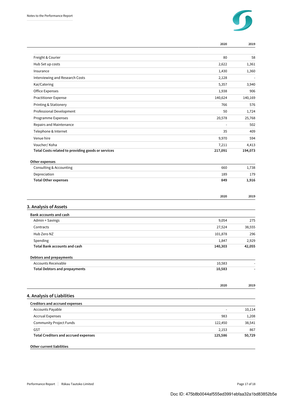

| 80<br>2,622<br>1,430<br>2,128<br>5,357<br>1,938<br>140,624<br>766<br>50<br>20,578<br>÷,<br>35<br>9,970<br>7,211<br>217,091<br>660<br>189 | 58<br>1,361<br>140,169<br>25,768<br>409<br>594                                                             |
|------------------------------------------------------------------------------------------------------------------------------------------|------------------------------------------------------------------------------------------------------------|
|                                                                                                                                          |                                                                                                            |
|                                                                                                                                          | 1,360<br>3,940<br>906<br>576<br>1,724<br>502<br>4,413<br>194,073<br>1,738                                  |
|                                                                                                                                          |                                                                                                            |
|                                                                                                                                          |                                                                                                            |
|                                                                                                                                          |                                                                                                            |
|                                                                                                                                          |                                                                                                            |
|                                                                                                                                          |                                                                                                            |
|                                                                                                                                          |                                                                                                            |
|                                                                                                                                          |                                                                                                            |
|                                                                                                                                          |                                                                                                            |
|                                                                                                                                          |                                                                                                            |
|                                                                                                                                          |                                                                                                            |
|                                                                                                                                          |                                                                                                            |
|                                                                                                                                          |                                                                                                            |
|                                                                                                                                          |                                                                                                            |
|                                                                                                                                          |                                                                                                            |
|                                                                                                                                          |                                                                                                            |
|                                                                                                                                          |                                                                                                            |
|                                                                                                                                          | 179                                                                                                        |
|                                                                                                                                          | 1,916                                                                                                      |
| 2020                                                                                                                                     | 2019                                                                                                       |
|                                                                                                                                          |                                                                                                            |
|                                                                                                                                          |                                                                                                            |
|                                                                                                                                          | 275                                                                                                        |
|                                                                                                                                          | 38,555                                                                                                     |
|                                                                                                                                          | 296                                                                                                        |
|                                                                                                                                          | 2,929                                                                                                      |
| 140,303                                                                                                                                  | 42,055                                                                                                     |
|                                                                                                                                          |                                                                                                            |
| 10,583                                                                                                                                   |                                                                                                            |
| 10,583                                                                                                                                   |                                                                                                            |
|                                                                                                                                          |                                                                                                            |
|                                                                                                                                          | 2019                                                                                                       |
|                                                                                                                                          |                                                                                                            |
|                                                                                                                                          | 10,114                                                                                                     |
|                                                                                                                                          |                                                                                                            |
|                                                                                                                                          | 1,208                                                                                                      |
|                                                                                                                                          | 38,541                                                                                                     |
|                                                                                                                                          | 867<br>50,729                                                                                              |
|                                                                                                                                          | 849<br>9,054<br>27,524<br>101,878<br>1,847<br>2020<br>$\blacksquare$<br>983<br>122,450<br>2,153<br>125,586 |

Other current liabilities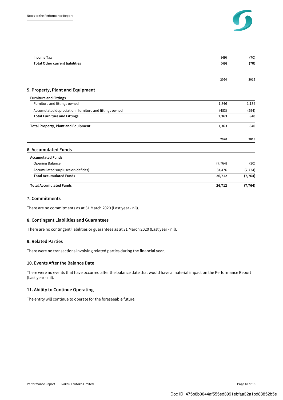

| <b>Income Tax</b>                                       | (49)     | (70)     |
|---------------------------------------------------------|----------|----------|
| <b>Total Other current liabilities</b>                  | (49)     | (70)     |
|                                                         | 2020     | 2019     |
| 5. Property, Plant and Equipment                        |          |          |
| <b>Furniture and Fittings</b>                           |          |          |
| Furniture and fittings owned                            | 1,846    | 1,134    |
| Accumulated depreciation - furniture and fittings owned | (483)    | (294)    |
| <b>Total Furniture and Fittings</b>                     | 1,363    | 840      |
| <b>Total Property, Plant and Equipment</b>              | 1,363    | 840      |
|                                                         | 2020     | 2019     |
| 6. Accumulated Funds                                    |          |          |
| <b>Accumulated Funds</b>                                |          |          |
| Opening Balance                                         | (7, 764) | (30)     |
| Accumulated surpluses or (deficits)                     | 34,476   | (7, 734) |
| <b>Total Accumulated Funds</b>                          | 26,712   | (7, 764) |
| <b>Total Accumulated Funds</b>                          | 26,712   | (7, 764) |

#### 7. Commitments

There are no commitments as at 31 March 2020 (Last year - nil).

#### 8. Contingent Liabilities and Guarantees

There are no contingent liabilities or guarantees as at 31 March 2020 (Last year - nil).

#### 9. Related Parties

There were no transactions involving related parties during the financial year.

#### 10. Events After the Balance Date

There were no events that have occurred after the balance date that would have a material impact on the Performance Report (Last year - nil).

#### 11. Ability to Continue Operating

The entity will continue to operate for the foreseeable future.